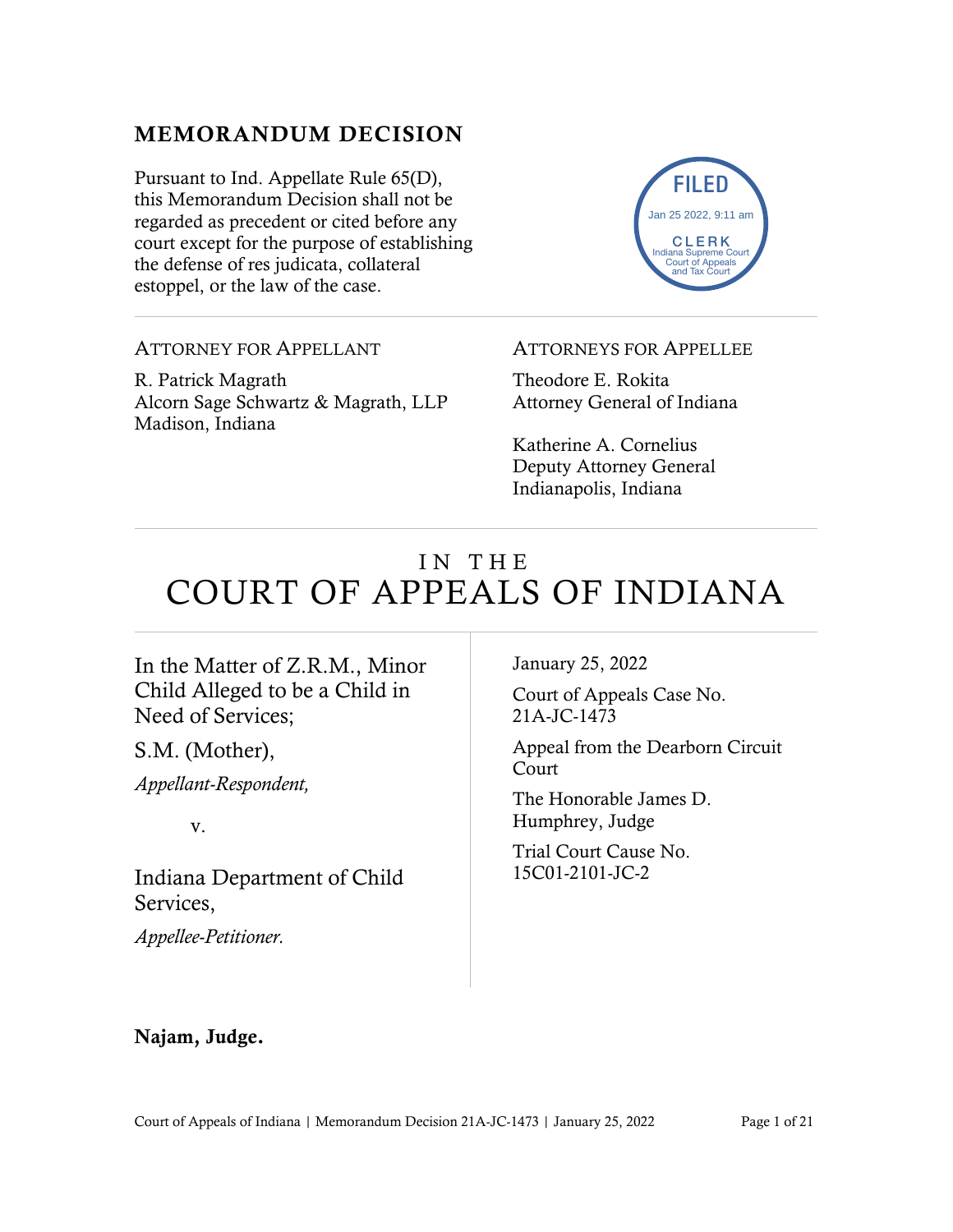# MEMORANDUM DECISION

Pursuant to Ind. Appellate Rule 65(D), this Memorandum Decision shall not be regarded as precedent or cited before any court except for the purpose of establishing the defense of res judicata, collateral estoppel, or the law of the case.



ATTORNEY FOR APPELLANT

R. Patrick Magrath Alcorn Sage Schwartz & Magrath, LLP Madison, Indiana

ATTORNEYS FOR APPELLEE

Theodore E. Rokita Attorney General of Indiana

Katherine A. Cornelius Deputy Attorney General Indianapolis, Indiana

# IN THE COURT OF APPEALS OF INDIANA

### In the Matter of Z.R.M., Minor Child Alleged to be a Child in Need of Services;

S.M. (Mother),

*Appellant-Respondent,*

v.

Indiana Department of Child Services,

*Appellee-Petitioner.*

January 25, 2022

Court of Appeals Case No. 21A-JC-1473

Appeal from the Dearborn Circuit **Court** 

The Honorable James D. Humphrey, Judge

Trial Court Cause No. 15C01-2101-JC-2

### Najam, Judge.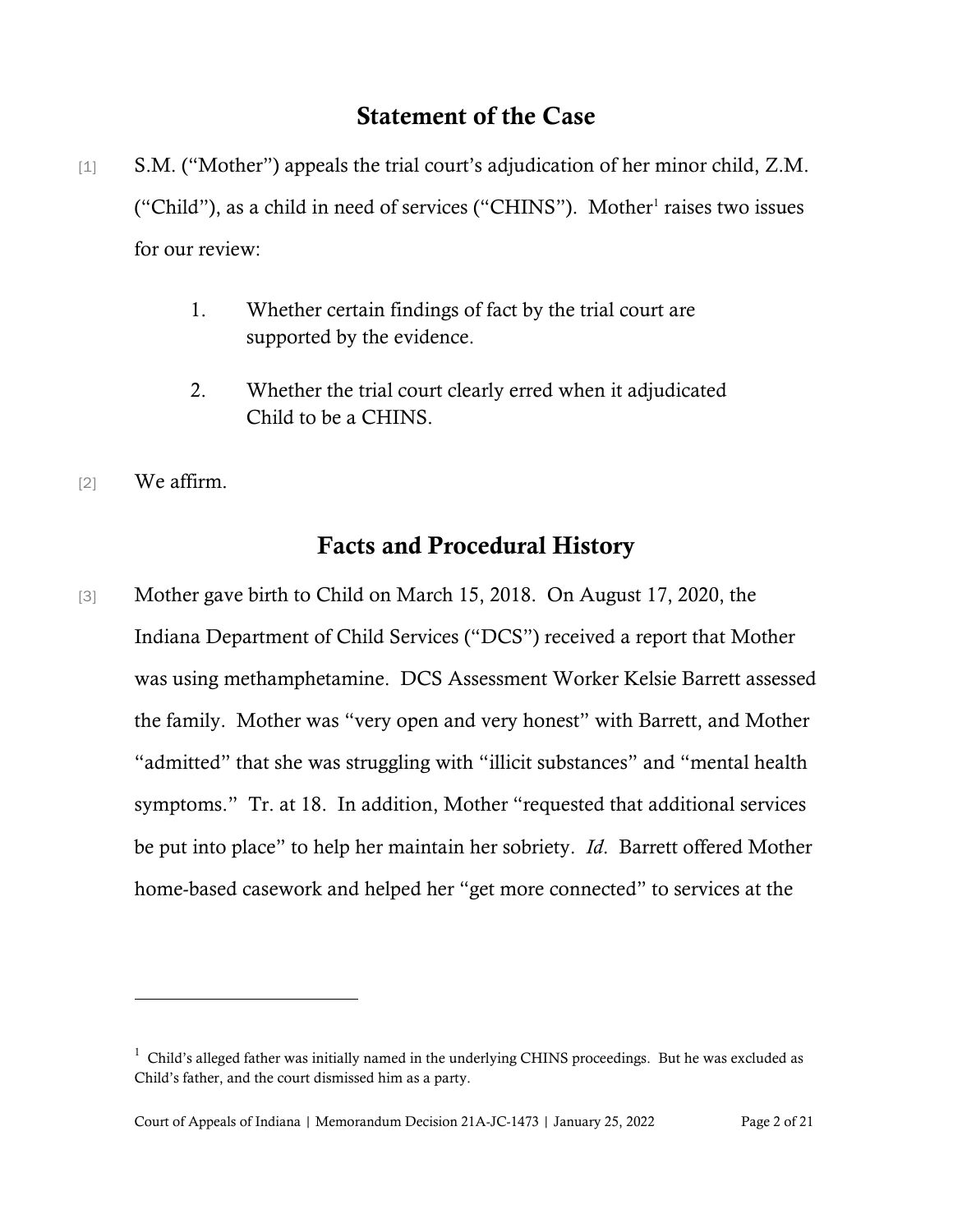# Statement of the Case

- [1] S.M. ("Mother") appeals the trial court's adjudication of her minor child, Z.M. ("Child"), as a child in need of services ("CHINS"). Mother<sup>[1](#page-1-0)</sup> raises two issues for our review:
	- 1. Whether certain findings of fact by the trial court are supported by the evidence.
	- 2. Whether the trial court clearly erred when it adjudicated Child to be a CHINS.
- [2] We affirm.

# Facts and Procedural History

[3] Mother gave birth to Child on March 15, 2018. On August 17, 2020, the Indiana Department of Child Services ("DCS") received a report that Mother was using methamphetamine. DCS Assessment Worker Kelsie Barrett assessed the family. Mother was "very open and very honest" with Barrett, and Mother "admitted" that she was struggling with "illicit substances" and "mental health symptoms." Tr. at 18. In addition, Mother "requested that additional services be put into place" to help her maintain her sobriety. *Id*. Barrett offered Mother home-based casework and helped her "get more connected" to services at the

<span id="page-1-0"></span> $1$  Child's alleged father was initially named in the underlying CHINS proceedings. But he was excluded as Child's father, and the court dismissed him as a party.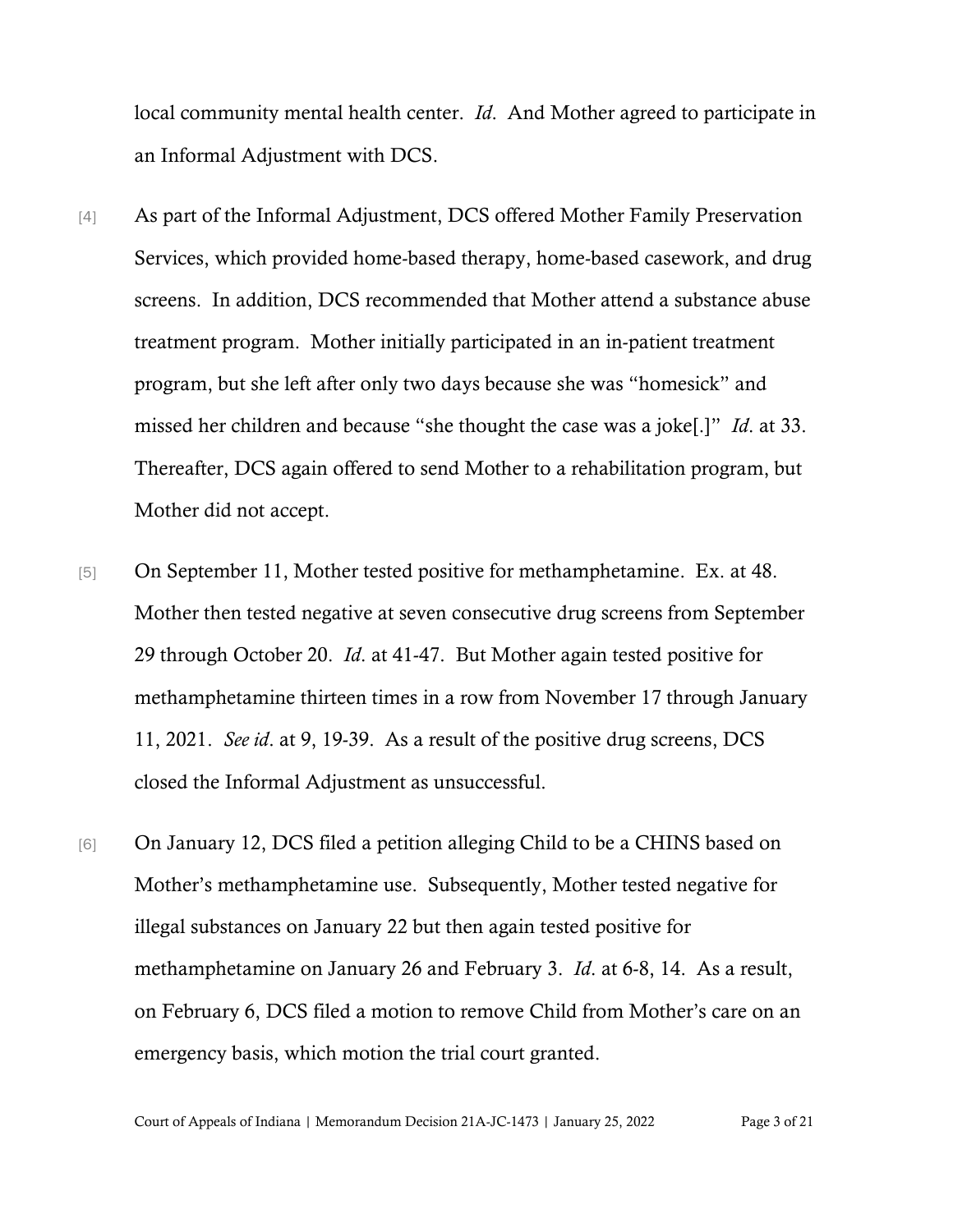local community mental health center. *Id*. And Mother agreed to participate in an Informal Adjustment with DCS.

- [4] As part of the Informal Adjustment, DCS offered Mother Family Preservation Services, which provided home-based therapy, home-based casework, and drug screens. In addition, DCS recommended that Mother attend a substance abuse treatment program. Mother initially participated in an in-patient treatment program, but she left after only two days because she was "homesick" and missed her children and because "she thought the case was a joke[.]" *Id*. at 33. Thereafter, DCS again offered to send Mother to a rehabilitation program, but Mother did not accept.
- [5] On September 11, Mother tested positive for methamphetamine. Ex. at 48. Mother then tested negative at seven consecutive drug screens from September 29 through October 20. *Id*. at 41-47. But Mother again tested positive for methamphetamine thirteen times in a row from November 17 through January 11, 2021. *See id*. at 9, 19-39. As a result of the positive drug screens, DCS closed the Informal Adjustment as unsuccessful.
- [6] On January 12, DCS filed a petition alleging Child to be a CHINS based on Mother's methamphetamine use. Subsequently, Mother tested negative for illegal substances on January 22 but then again tested positive for methamphetamine on January 26 and February 3. *Id*. at 6-8, 14. As a result, on February 6, DCS filed a motion to remove Child from Mother's care on an emergency basis, which motion the trial court granted.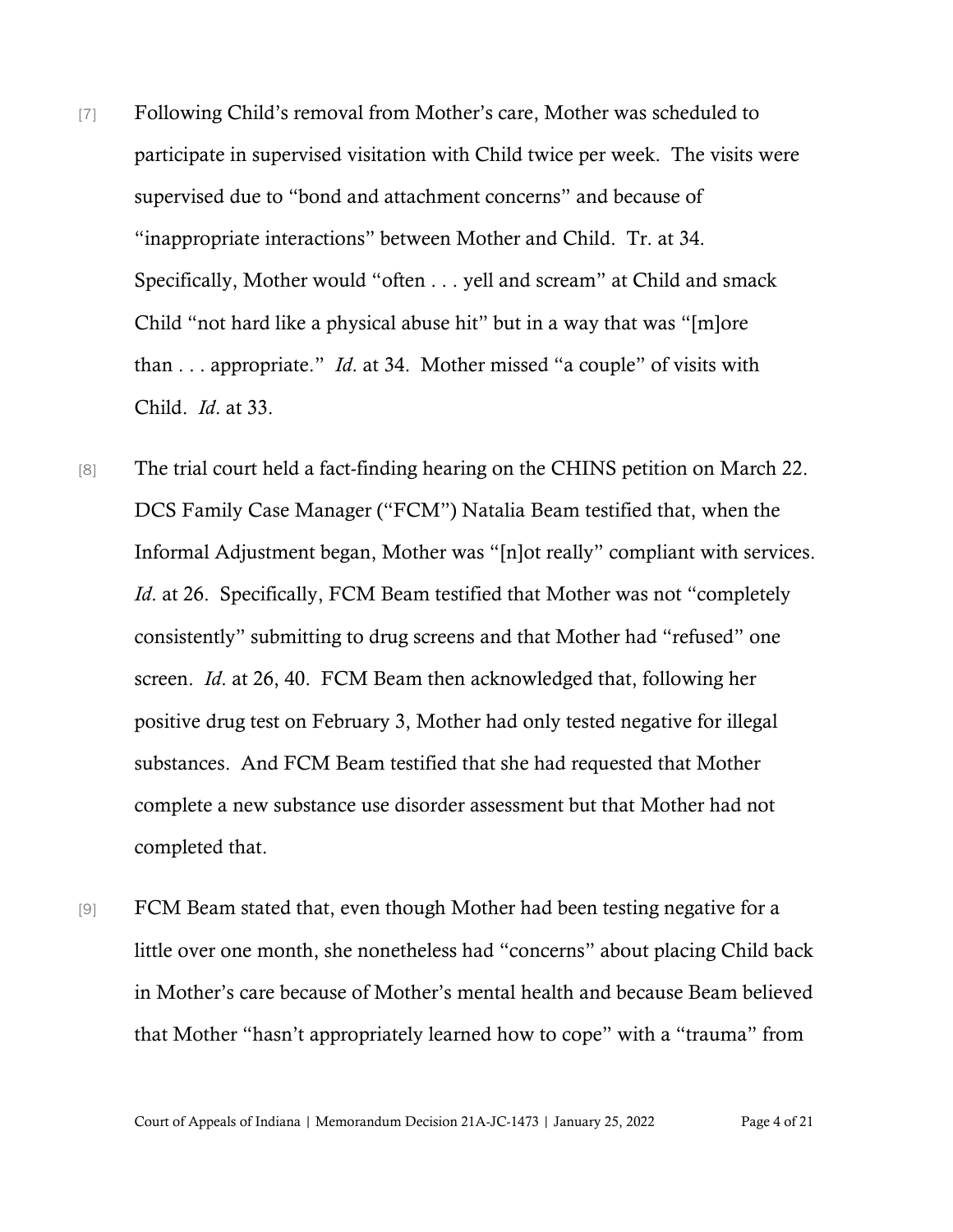- [7] Following Child's removal from Mother's care, Mother was scheduled to participate in supervised visitation with Child twice per week. The visits were supervised due to "bond and attachment concerns" and because of "inappropriate interactions" between Mother and Child. Tr. at 34. Specifically, Mother would "often . . . yell and scream" at Child and smack Child "not hard like a physical abuse hit" but in a way that was "[m]ore than . . . appropriate." *Id*. at 34. Mother missed "a couple" of visits with Child. *Id*. at 33.
- [8] The trial court held a fact-finding hearing on the CHINS petition on March 22. DCS Family Case Manager ("FCM") Natalia Beam testified that, when the Informal Adjustment began, Mother was "[n]ot really" compliant with services. *Id.* at 26. Specifically, FCM Beam testified that Mother was not "completely consistently" submitting to drug screens and that Mother had "refused" one screen. *Id*. at 26, 40. FCM Beam then acknowledged that, following her positive drug test on February 3, Mother had only tested negative for illegal substances. And FCM Beam testified that she had requested that Mother complete a new substance use disorder assessment but that Mother had not completed that.
- [9] FCM Beam stated that, even though Mother had been testing negative for a little over one month, she nonetheless had "concerns" about placing Child back in Mother's care because of Mother's mental health and because Beam believed that Mother "hasn't appropriately learned how to cope" with a "trauma" from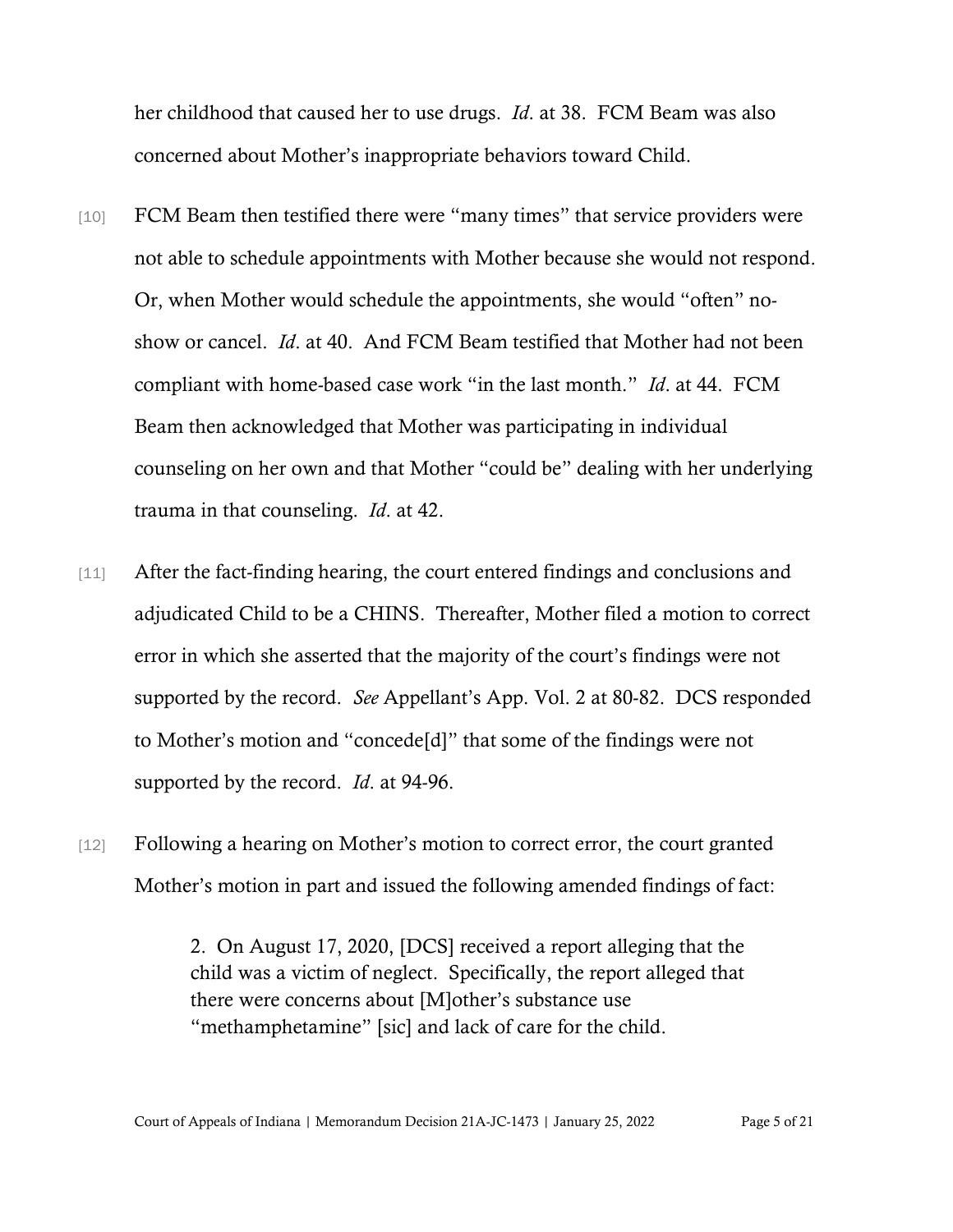her childhood that caused her to use drugs. *Id*. at 38. FCM Beam was also concerned about Mother's inappropriate behaviors toward Child.

- [10] FCM Beam then testified there were "many times" that service providers were not able to schedule appointments with Mother because she would not respond. Or, when Mother would schedule the appointments, she would "often" noshow or cancel. *Id*. at 40. And FCM Beam testified that Mother had not been compliant with home-based case work "in the last month." *Id*. at 44. FCM Beam then acknowledged that Mother was participating in individual counseling on her own and that Mother "could be" dealing with her underlying trauma in that counseling. *Id*. at 42.
- [11] After the fact-finding hearing, the court entered findings and conclusions and adjudicated Child to be a CHINS. Thereafter, Mother filed a motion to correct error in which she asserted that the majority of the court's findings were not supported by the record. *See* Appellant's App. Vol. 2 at 80-82. DCS responded to Mother's motion and "concede[d]" that some of the findings were not supported by the record. *Id*. at 94-96.
- [12] Following a hearing on Mother's motion to correct error, the court granted Mother's motion in part and issued the following amended findings of fact:

2. On August 17, 2020, [DCS] received a report alleging that the child was a victim of neglect. Specifically, the report alleged that there were concerns about [M]other's substance use "methamphetamine" [sic] and lack of care for the child.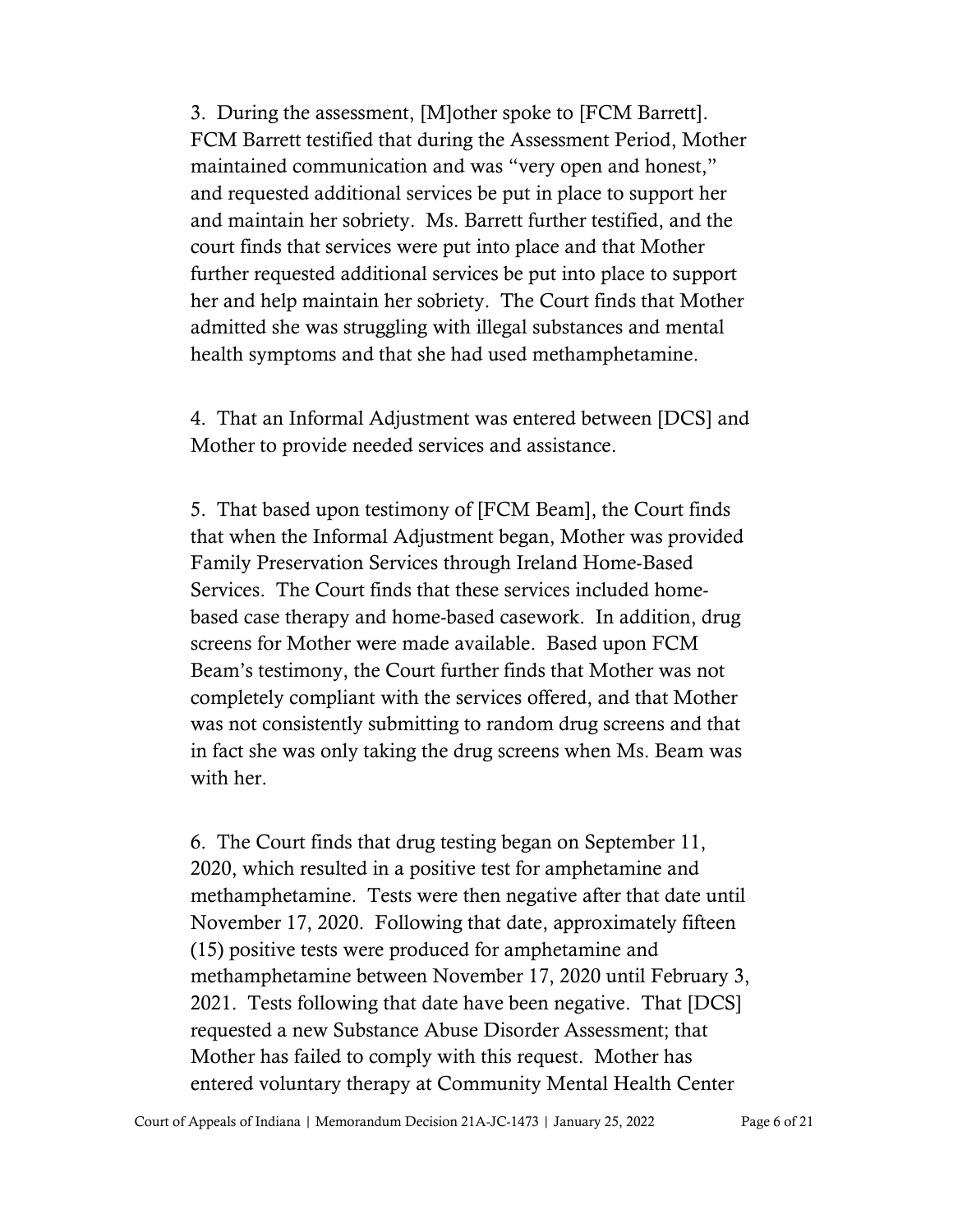3. During the assessment, [M]other spoke to [FCM Barrett]. FCM Barrett testified that during the Assessment Period, Mother maintained communication and was "very open and honest," and requested additional services be put in place to support her and maintain her sobriety. Ms. Barrett further testified, and the court finds that services were put into place and that Mother further requested additional services be put into place to support her and help maintain her sobriety. The Court finds that Mother admitted she was struggling with illegal substances and mental health symptoms and that she had used methamphetamine.

4. That an Informal Adjustment was entered between [DCS] and Mother to provide needed services and assistance.

5. That based upon testimony of [FCM Beam], the Court finds that when the Informal Adjustment began, Mother was provided Family Preservation Services through Ireland Home-Based Services. The Court finds that these services included homebased case therapy and home-based casework. In addition, drug screens for Mother were made available. Based upon FCM Beam's testimony, the Court further finds that Mother was not completely compliant with the services offered, and that Mother was not consistently submitting to random drug screens and that in fact she was only taking the drug screens when Ms. Beam was with her.

6. The Court finds that drug testing began on September 11, 2020, which resulted in a positive test for amphetamine and methamphetamine. Tests were then negative after that date until November 17, 2020. Following that date, approximately fifteen (15) positive tests were produced for amphetamine and methamphetamine between November 17, 2020 until February 3, 2021. Tests following that date have been negative. That [DCS] requested a new Substance Abuse Disorder Assessment; that Mother has failed to comply with this request. Mother has entered voluntary therapy at Community Mental Health Center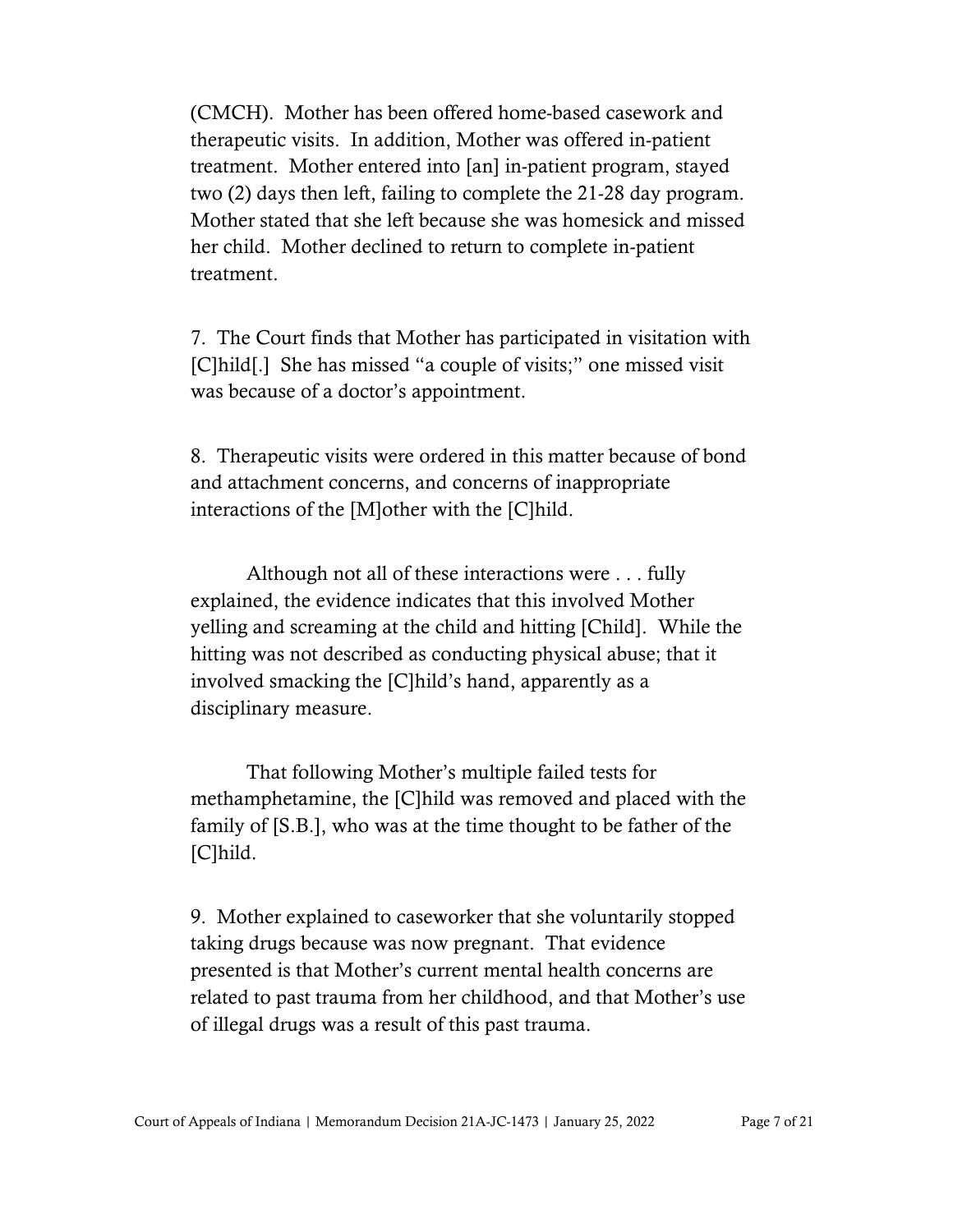(CMCH). Mother has been offered home-based casework and therapeutic visits. In addition, Mother was offered in-patient treatment. Mother entered into [an] in-patient program, stayed two (2) days then left, failing to complete the 21-28 day program. Mother stated that she left because she was homesick and missed her child. Mother declined to return to complete in-patient treatment.

7. The Court finds that Mother has participated in visitation with [C]hild[.] She has missed "a couple of visits;" one missed visit was because of a doctor's appointment.

8. Therapeutic visits were ordered in this matter because of bond and attachment concerns, and concerns of inappropriate interactions of the [M]other with the [C]hild.

Although not all of these interactions were . . . fully explained, the evidence indicates that this involved Mother yelling and screaming at the child and hitting [Child]. While the hitting was not described as conducting physical abuse; that it involved smacking the [C]hild's hand, apparently as a disciplinary measure.

That following Mother's multiple failed tests for methamphetamine, the [C]hild was removed and placed with the family of [S.B.], who was at the time thought to be father of the [C]hild.

9. Mother explained to caseworker that she voluntarily stopped taking drugs because was now pregnant. That evidence presented is that Mother's current mental health concerns are related to past trauma from her childhood, and that Mother's use of illegal drugs was a result of this past trauma.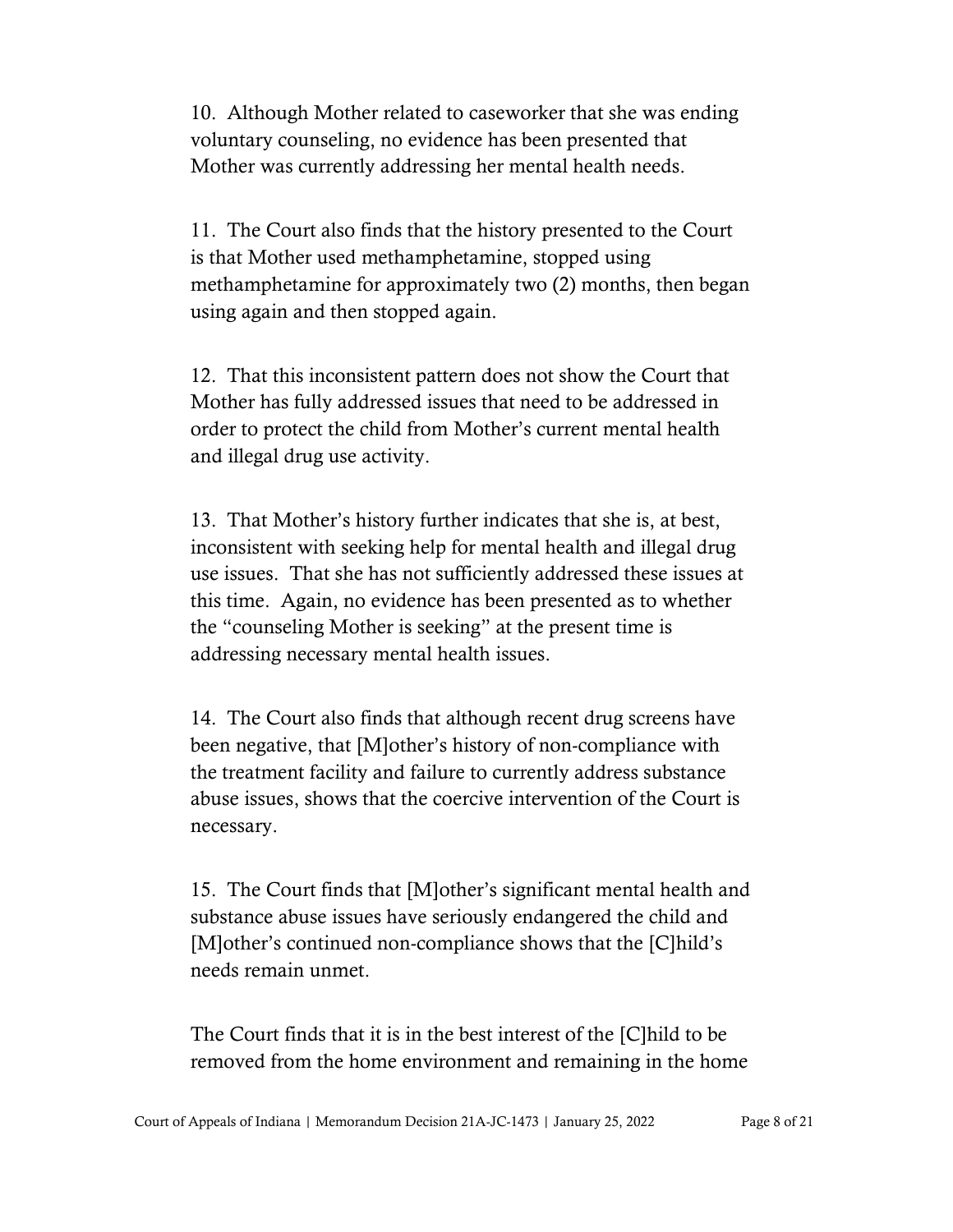10. Although Mother related to caseworker that she was ending voluntary counseling, no evidence has been presented that Mother was currently addressing her mental health needs.

11. The Court also finds that the history presented to the Court is that Mother used methamphetamine, stopped using methamphetamine for approximately two (2) months, then began using again and then stopped again.

12. That this inconsistent pattern does not show the Court that Mother has fully addressed issues that need to be addressed in order to protect the child from Mother's current mental health and illegal drug use activity.

13. That Mother's history further indicates that she is, at best, inconsistent with seeking help for mental health and illegal drug use issues. That she has not sufficiently addressed these issues at this time. Again, no evidence has been presented as to whether the "counseling Mother is seeking" at the present time is addressing necessary mental health issues.

14. The Court also finds that although recent drug screens have been negative, that [M]other's history of non-compliance with the treatment facility and failure to currently address substance abuse issues, shows that the coercive intervention of the Court is necessary.

15. The Court finds that [M]other's significant mental health and substance abuse issues have seriously endangered the child and [M]other's continued non-compliance shows that the [C]hild's needs remain unmet.

The Court finds that it is in the best interest of the [C]hild to be removed from the home environment and remaining in the home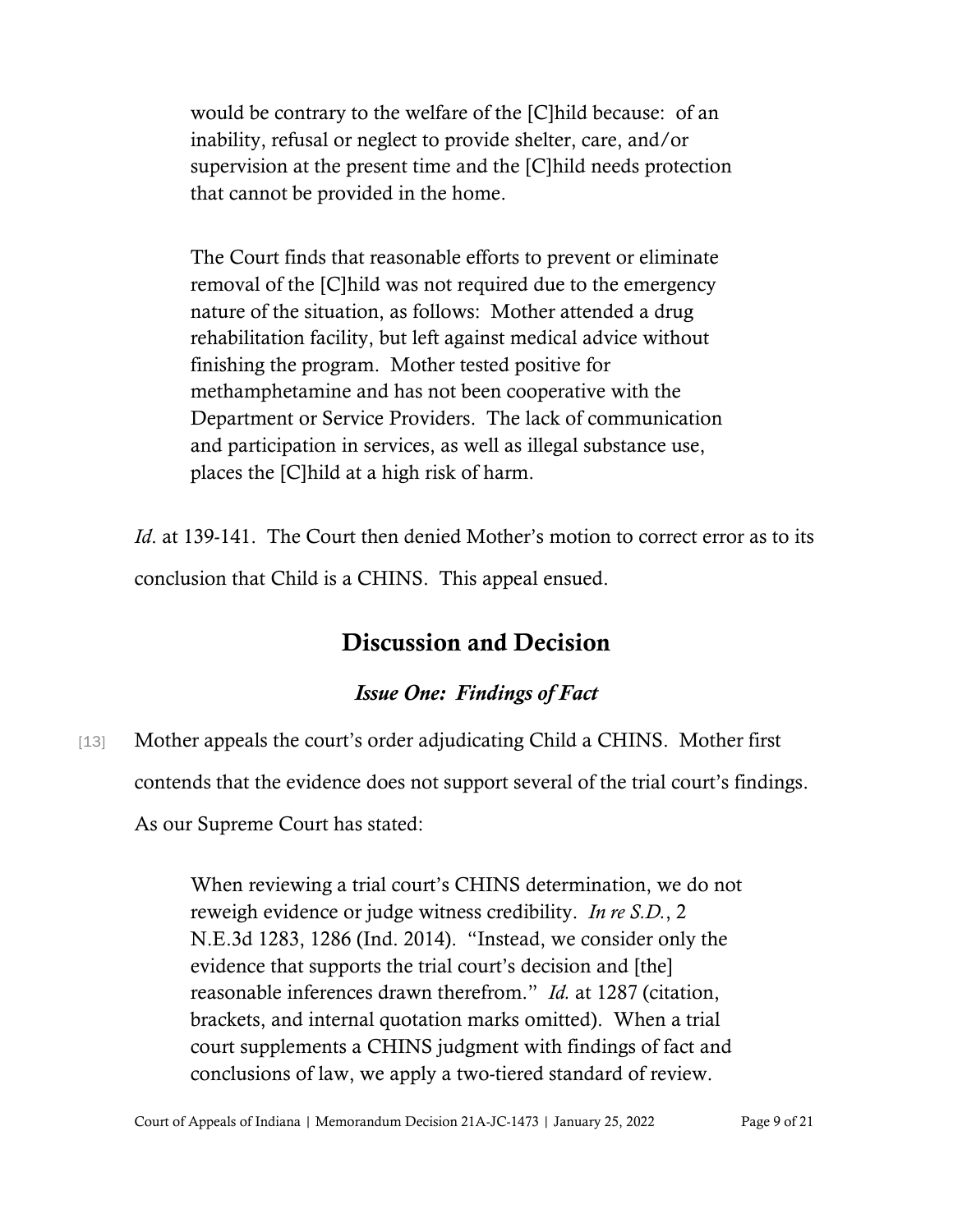would be contrary to the welfare of the [C]hild because: of an inability, refusal or neglect to provide shelter, care, and/or supervision at the present time and the [C]hild needs protection that cannot be provided in the home.

The Court finds that reasonable efforts to prevent or eliminate removal of the [C]hild was not required due to the emergency nature of the situation, as follows: Mother attended a drug rehabilitation facility, but left against medical advice without finishing the program. Mother tested positive for methamphetamine and has not been cooperative with the Department or Service Providers. The lack of communication and participation in services, as well as illegal substance use, places the [C]hild at a high risk of harm.

*Id.* at 139-141. The Court then denied Mother's motion to correct error as to its conclusion that Child is a CHINS. This appeal ensued.

# Discussion and Decision

### *Issue One: Findings of Fact*

[13] Mother appeals the court's order adjudicating Child a CHINS. Mother first contends that the evidence does not support several of the trial court's findings. As our Supreme Court has stated:

> When reviewing a trial court's CHINS determination, we do not reweigh evidence or judge witness credibility. *In re S.D.*, 2 N.E.3d 1283, 1286 (Ind. 2014). "Instead, we consider only the evidence that supports the trial court's decision and [the] reasonable inferences drawn therefrom." *Id.* at 1287 (citation, brackets, and internal quotation marks omitted). When a trial court supplements a CHINS judgment with findings of fact and conclusions of law, we apply a two-tiered standard of review.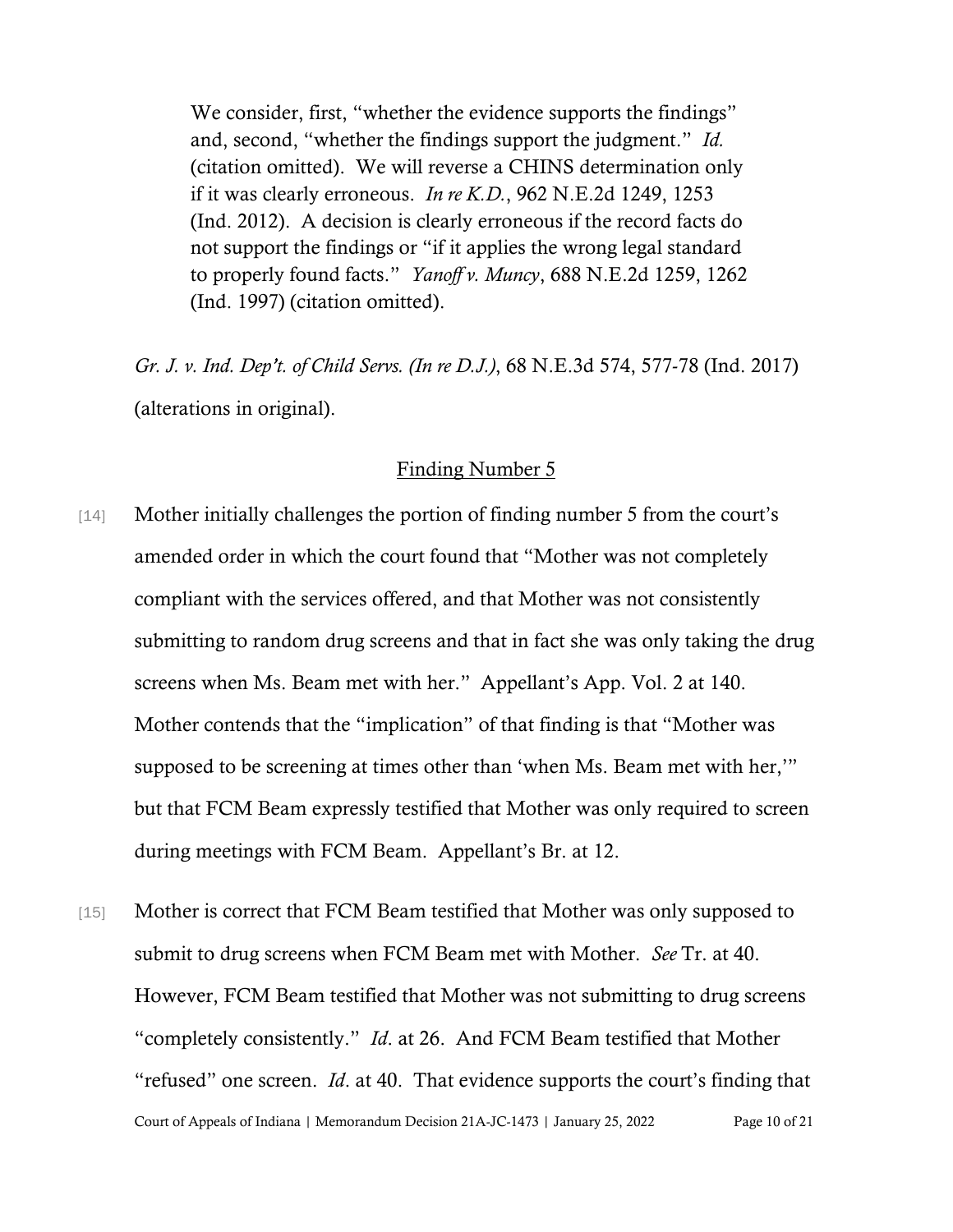We consider, first, "whether the evidence supports the findings" and, second, "whether the findings support the judgment." *Id.* (citation omitted). We will reverse a CHINS determination only if it was clearly erroneous. *In re K.D.*, 962 N.E.2d 1249, 1253 (Ind. 2012). A decision is clearly erroneous if the record facts do not support the findings or "if it applies the wrong legal standard to properly found facts." *Yanoff v. Muncy*, 688 N.E.2d 1259, 1262 (Ind. 1997) (citation omitted).

*Gr. J. v. Ind. Dep't. of Child Servs. (In re D.J.)*, 68 N.E.3d 574, 577-78 (Ind. 2017) (alterations in original).

#### Finding Number 5

- [14] Mother initially challenges the portion of finding number 5 from the court's amended order in which the court found that "Mother was not completely compliant with the services offered, and that Mother was not consistently submitting to random drug screens and that in fact she was only taking the drug screens when Ms. Beam met with her." Appellant's App. Vol. 2 at 140. Mother contends that the "implication" of that finding is that "Mother was supposed to be screening at times other than 'when Ms. Beam met with her,'" but that FCM Beam expressly testified that Mother was only required to screen during meetings with FCM Beam. Appellant's Br. at 12.
- Court of Appeals of Indiana | Memorandum Decision 21A-JC-1473 | January 25, 2022 Page 10 of 21 [15] Mother is correct that FCM Beam testified that Mother was only supposed to submit to drug screens when FCM Beam met with Mother. *See* Tr. at 40. However, FCM Beam testified that Mother was not submitting to drug screens "completely consistently." *Id*. at 26. And FCM Beam testified that Mother "refused" one screen. *Id*. at 40. That evidence supports the court's finding that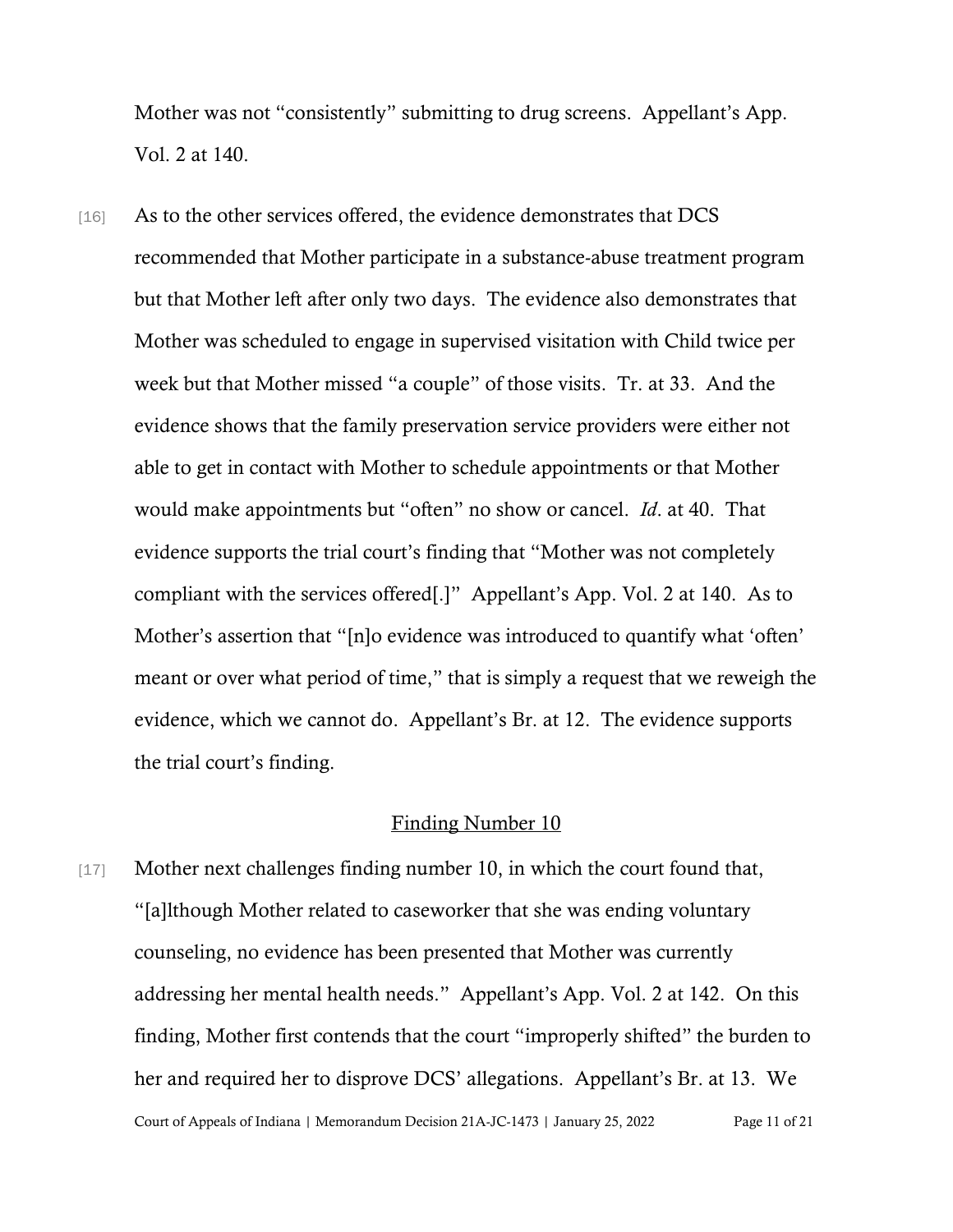Mother was not "consistently" submitting to drug screens. Appellant's App. Vol. 2 at 140.

[16] As to the other services offered, the evidence demonstrates that DCS recommended that Mother participate in a substance-abuse treatment program but that Mother left after only two days. The evidence also demonstrates that Mother was scheduled to engage in supervised visitation with Child twice per week but that Mother missed "a couple" of those visits. Tr. at 33. And the evidence shows that the family preservation service providers were either not able to get in contact with Mother to schedule appointments or that Mother would make appointments but "often" no show or cancel. *Id*. at 40. That evidence supports the trial court's finding that "Mother was not completely compliant with the services offered[.]" Appellant's App. Vol. 2 at 140. As to Mother's assertion that "[n]o evidence was introduced to quantify what 'often' meant or over what period of time," that is simply a request that we reweigh the evidence, which we cannot do. Appellant's Br. at 12. The evidence supports the trial court's finding.

#### Finding Number 10

Court of Appeals of Indiana | Memorandum Decision 21A-JC-1473 | January 25, 2022 Page 11 of 21 [17] Mother next challenges finding number 10, in which the court found that, "[a]lthough Mother related to caseworker that she was ending voluntary counseling, no evidence has been presented that Mother was currently addressing her mental health needs." Appellant's App. Vol. 2 at 142. On this finding, Mother first contends that the court "improperly shifted" the burden to her and required her to disprove DCS' allegations. Appellant's Br. at 13. We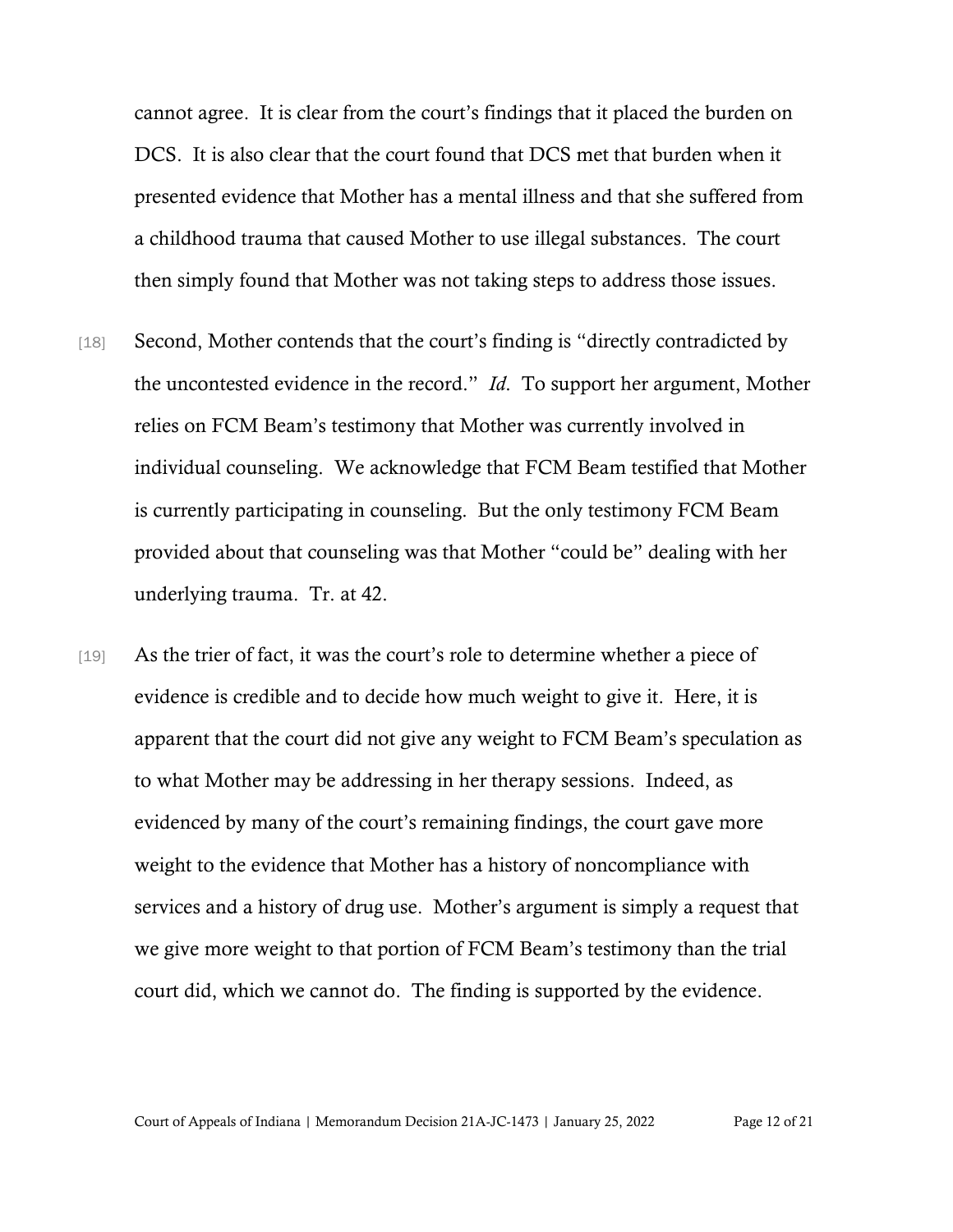cannot agree. It is clear from the court's findings that it placed the burden on DCS. It is also clear that the court found that DCS met that burden when it presented evidence that Mother has a mental illness and that she suffered from a childhood trauma that caused Mother to use illegal substances. The court then simply found that Mother was not taking steps to address those issues.

- [18] Second, Mother contends that the court's finding is "directly contradicted by the uncontested evidence in the record." *Id*. To support her argument, Mother relies on FCM Beam's testimony that Mother was currently involved in individual counseling. We acknowledge that FCM Beam testified that Mother is currently participating in counseling. But the only testimony FCM Beam provided about that counseling was that Mother "could be" dealing with her underlying trauma. Tr. at 42.
- [19] As the trier of fact, it was the court's role to determine whether a piece of evidence is credible and to decide how much weight to give it. Here, it is apparent that the court did not give any weight to FCM Beam's speculation as to what Mother may be addressing in her therapy sessions. Indeed, as evidenced by many of the court's remaining findings, the court gave more weight to the evidence that Mother has a history of noncompliance with services and a history of drug use. Mother's argument is simply a request that we give more weight to that portion of FCM Beam's testimony than the trial court did, which we cannot do. The finding is supported by the evidence.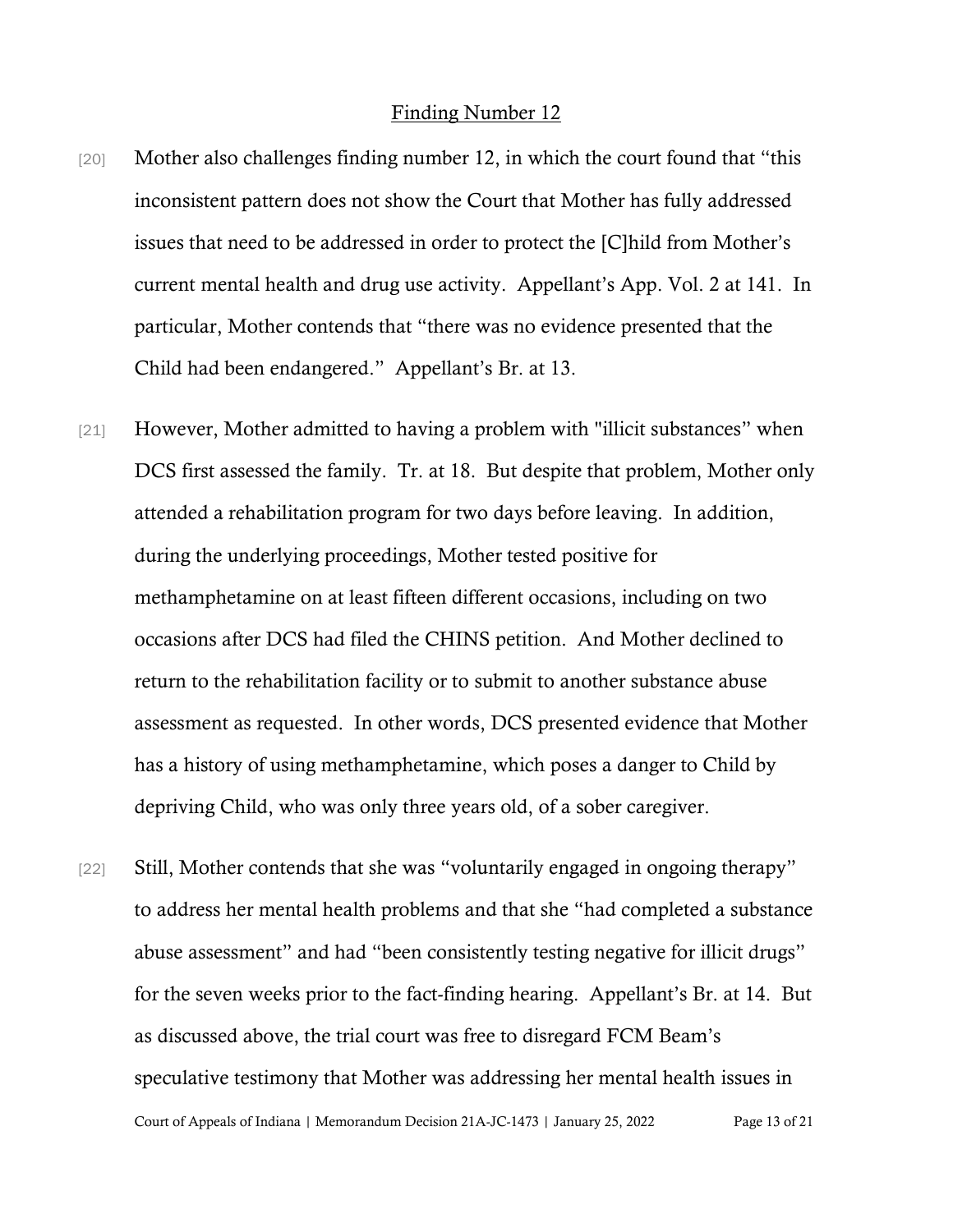#### Finding Number 12

- [20] Mother also challenges finding number 12, in which the court found that "this" inconsistent pattern does not show the Court that Mother has fully addressed issues that need to be addressed in order to protect the [C]hild from Mother's current mental health and drug use activity. Appellant's App. Vol. 2 at 141. In particular, Mother contends that "there was no evidence presented that the Child had been endangered." Appellant's Br. at 13.
- [21] However, Mother admitted to having a problem with "illicit substances" when DCS first assessed the family. Tr. at 18. But despite that problem, Mother only attended a rehabilitation program for two days before leaving. In addition, during the underlying proceedings, Mother tested positive for methamphetamine on at least fifteen different occasions, including on two occasions after DCS had filed the CHINS petition. And Mother declined to return to the rehabilitation facility or to submit to another substance abuse assessment as requested. In other words, DCS presented evidence that Mother has a history of using methamphetamine, which poses a danger to Child by depriving Child, who was only three years old, of a sober caregiver.
- Court of Appeals of Indiana | Memorandum Decision 21A-JC-1473 | January 25, 2022 Page 13 of 21 [22] Still, Mother contends that she was "voluntarily engaged in ongoing therapy" to address her mental health problems and that she "had completed a substance abuse assessment" and had "been consistently testing negative for illicit drugs" for the seven weeks prior to the fact-finding hearing. Appellant's Br. at 14. But as discussed above, the trial court was free to disregard FCM Beam's speculative testimony that Mother was addressing her mental health issues in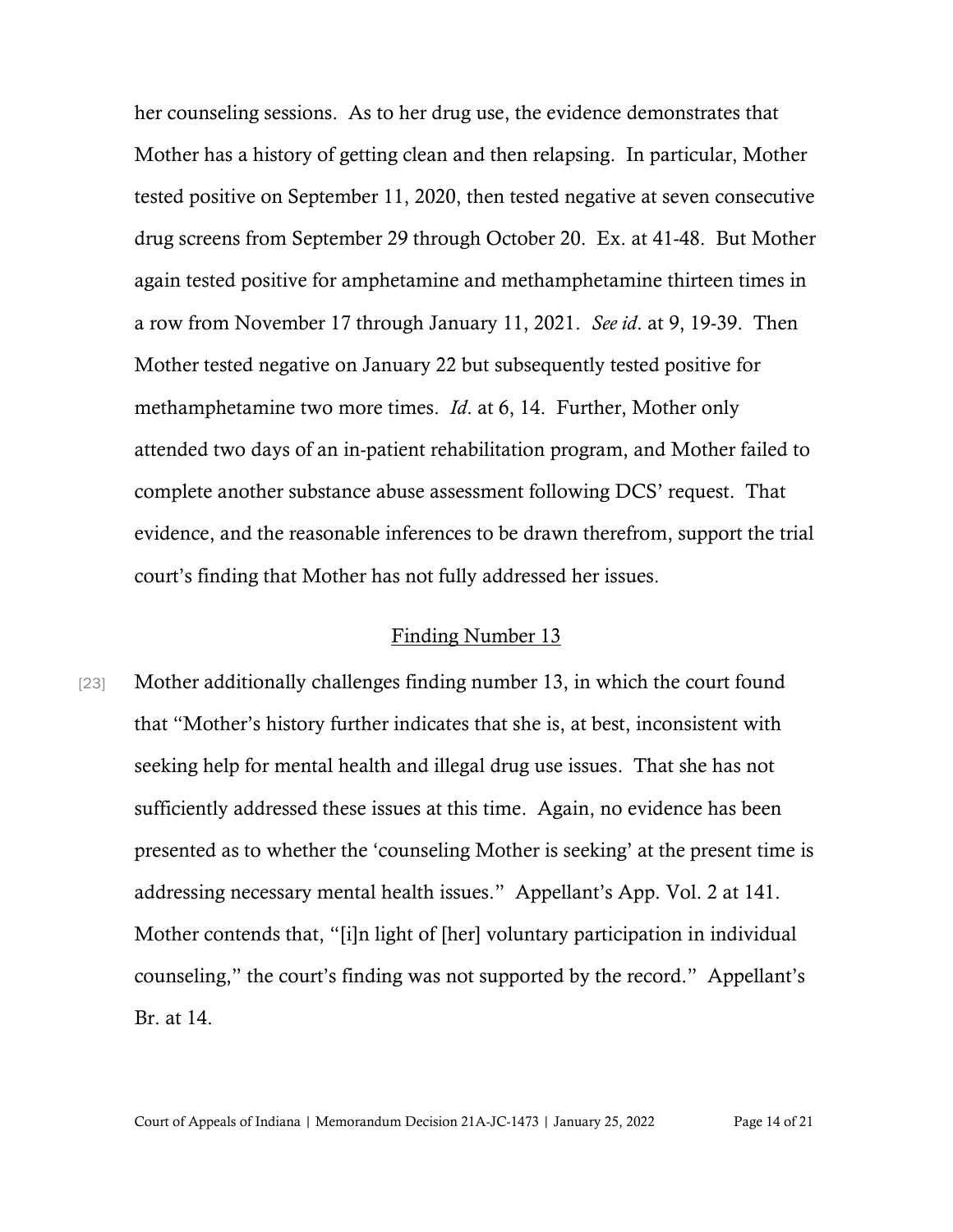her counseling sessions. As to her drug use, the evidence demonstrates that Mother has a history of getting clean and then relapsing. In particular, Mother tested positive on September 11, 2020, then tested negative at seven consecutive drug screens from September 29 through October 20. Ex. at 41-48. But Mother again tested positive for amphetamine and methamphetamine thirteen times in a row from November 17 through January 11, 2021. *See id*. at 9, 19-39. Then Mother tested negative on January 22 but subsequently tested positive for methamphetamine two more times. *Id*. at 6, 14. Further, Mother only attended two days of an in-patient rehabilitation program, and Mother failed to complete another substance abuse assessment following DCS' request. That evidence, and the reasonable inferences to be drawn therefrom, support the trial court's finding that Mother has not fully addressed her issues.

#### Finding Number 13

[23] Mother additionally challenges finding number 13, in which the court found that "Mother's history further indicates that she is, at best, inconsistent with seeking help for mental health and illegal drug use issues. That she has not sufficiently addressed these issues at this time. Again, no evidence has been presented as to whether the 'counseling Mother is seeking' at the present time is addressing necessary mental health issues." Appellant's App. Vol. 2 at 141. Mother contends that, "[i]n light of [her] voluntary participation in individual counseling," the court's finding was not supported by the record." Appellant's Br. at 14.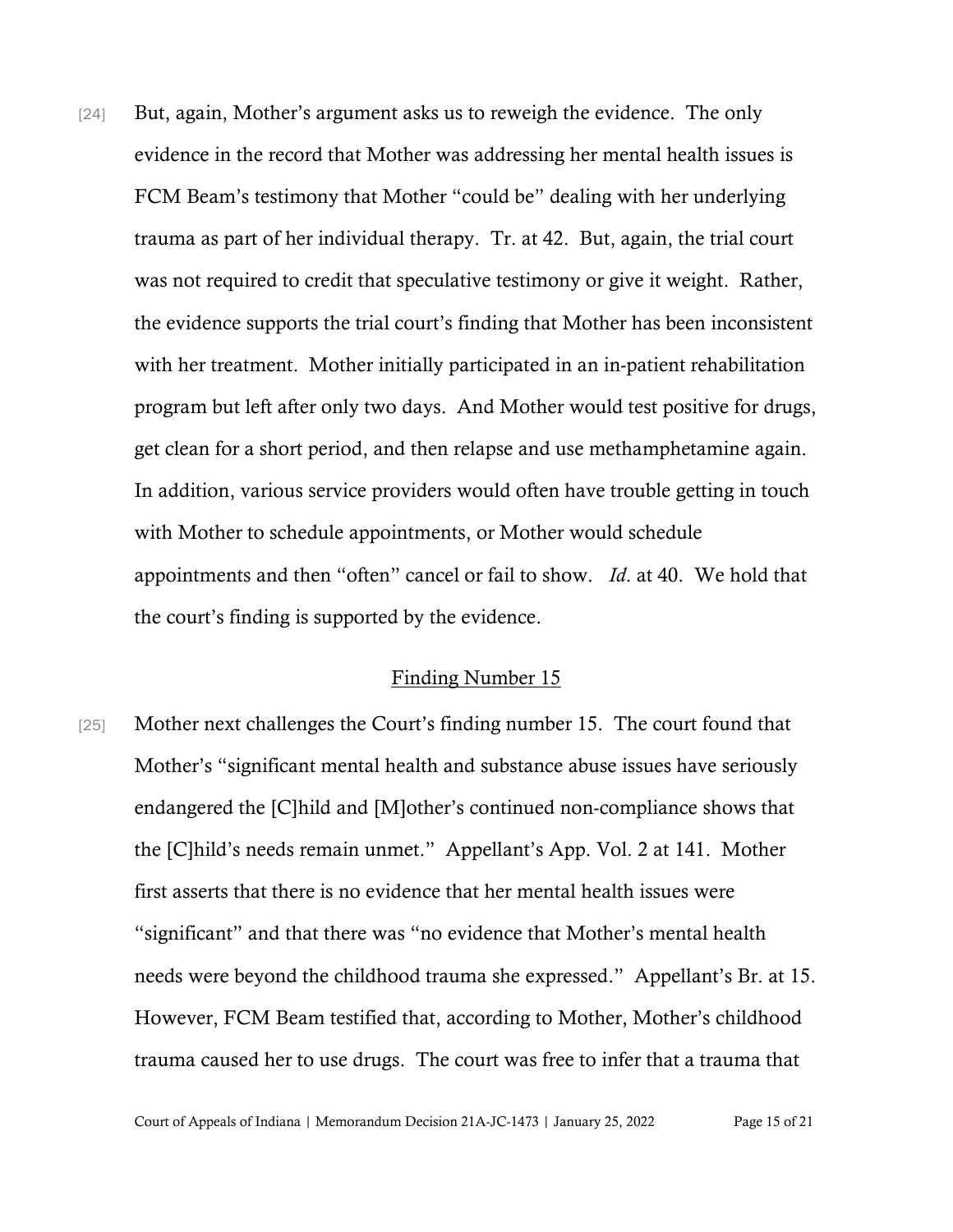[24] But, again, Mother's argument asks us to reweigh the evidence. The only evidence in the record that Mother was addressing her mental health issues is FCM Beam's testimony that Mother "could be" dealing with her underlying trauma as part of her individual therapy. Tr. at 42. But, again, the trial court was not required to credit that speculative testimony or give it weight. Rather, the evidence supports the trial court's finding that Mother has been inconsistent with her treatment. Mother initially participated in an in-patient rehabilitation program but left after only two days. And Mother would test positive for drugs, get clean for a short period, and then relapse and use methamphetamine again. In addition, various service providers would often have trouble getting in touch with Mother to schedule appointments, or Mother would schedule appointments and then "often" cancel or fail to show. *Id*. at 40. We hold that the court's finding is supported by the evidence.

#### Finding Number 15

[25] Mother next challenges the Court's finding number 15. The court found that Mother's "significant mental health and substance abuse issues have seriously endangered the [C]hild and [M]other's continued non-compliance shows that the [C]hild's needs remain unmet." Appellant's App. Vol. 2 at 141. Mother first asserts that there is no evidence that her mental health issues were "significant" and that there was "no evidence that Mother's mental health needs were beyond the childhood trauma she expressed." Appellant's Br. at 15. However, FCM Beam testified that, according to Mother, Mother's childhood trauma caused her to use drugs. The court was free to infer that a trauma that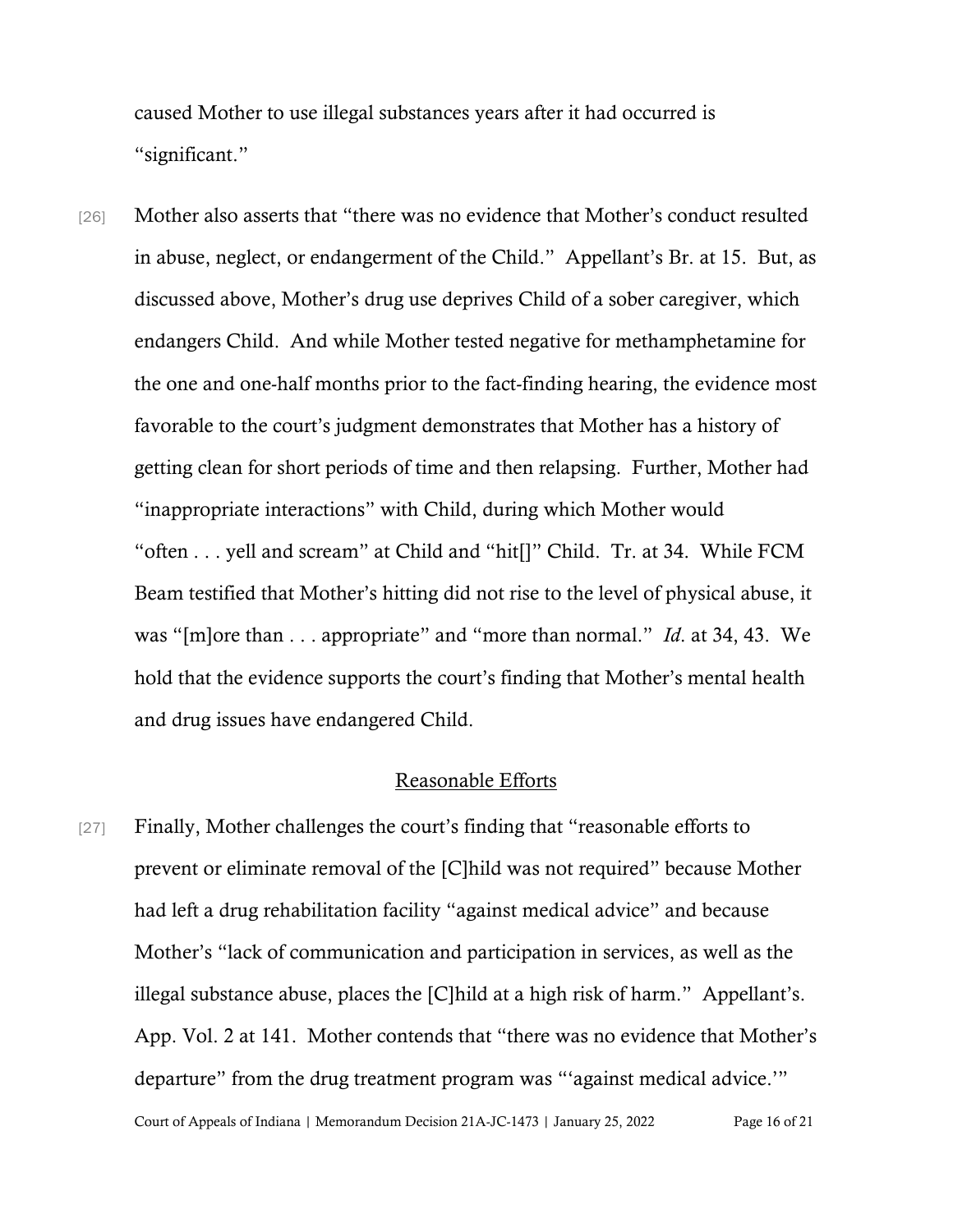caused Mother to use illegal substances years after it had occurred is "significant."

[26] Mother also asserts that "there was no evidence that Mother's conduct resulted in abuse, neglect, or endangerment of the Child." Appellant's Br. at 15. But, as discussed above, Mother's drug use deprives Child of a sober caregiver, which endangers Child. And while Mother tested negative for methamphetamine for the one and one-half months prior to the fact-finding hearing, the evidence most favorable to the court's judgment demonstrates that Mother has a history of getting clean for short periods of time and then relapsing. Further, Mother had "inappropriate interactions" with Child, during which Mother would "often . . . yell and scream" at Child and "hit[]" Child. Tr. at 34. While FCM Beam testified that Mother's hitting did not rise to the level of physical abuse, it was "[m]ore than . . . appropriate" and "more than normal." *Id*. at 34, 43. We hold that the evidence supports the court's finding that Mother's mental health and drug issues have endangered Child.

#### Reasonable Efforts

Court of Appeals of Indiana | Memorandum Decision 21A-JC-1473 | January 25, 2022 Page 16 of 21 [27] Finally, Mother challenges the court's finding that "reasonable efforts to prevent or eliminate removal of the [C]hild was not required" because Mother had left a drug rehabilitation facility "against medical advice" and because Mother's "lack of communication and participation in services, as well as the illegal substance abuse, places the [C]hild at a high risk of harm." Appellant's. App. Vol. 2 at 141. Mother contends that "there was no evidence that Mother's departure" from the drug treatment program was "'against medical advice.'"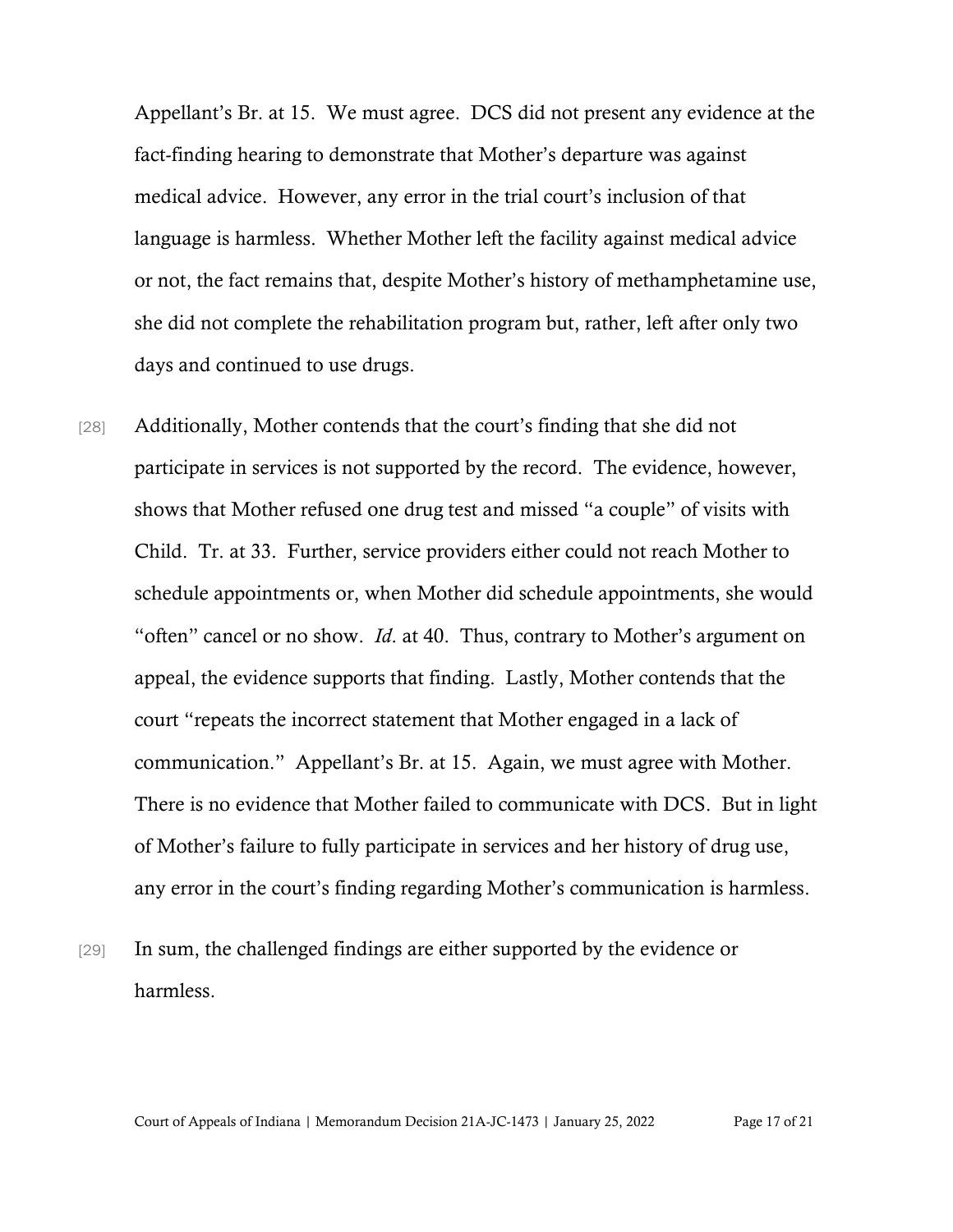Appellant's Br. at 15. We must agree. DCS did not present any evidence at the fact-finding hearing to demonstrate that Mother's departure was against medical advice. However, any error in the trial court's inclusion of that language is harmless. Whether Mother left the facility against medical advice or not, the fact remains that, despite Mother's history of methamphetamine use, she did not complete the rehabilitation program but, rather, left after only two days and continued to use drugs.

- [28] Additionally, Mother contends that the court's finding that she did not participate in services is not supported by the record. The evidence, however, shows that Mother refused one drug test and missed "a couple" of visits with Child. Tr. at 33. Further, service providers either could not reach Mother to schedule appointments or, when Mother did schedule appointments, she would "often" cancel or no show. *Id*. at 40. Thus, contrary to Mother's argument on appeal, the evidence supports that finding. Lastly, Mother contends that the court "repeats the incorrect statement that Mother engaged in a lack of communication." Appellant's Br. at 15. Again, we must agree with Mother. There is no evidence that Mother failed to communicate with DCS. But in light of Mother's failure to fully participate in services and her history of drug use, any error in the court's finding regarding Mother's communication is harmless.
- [29] In sum, the challenged findings are either supported by the evidence or harmless.

Court of Appeals of Indiana | Memorandum Decision 21A-JC-1473 | January 25, 2022 Page 17 of 21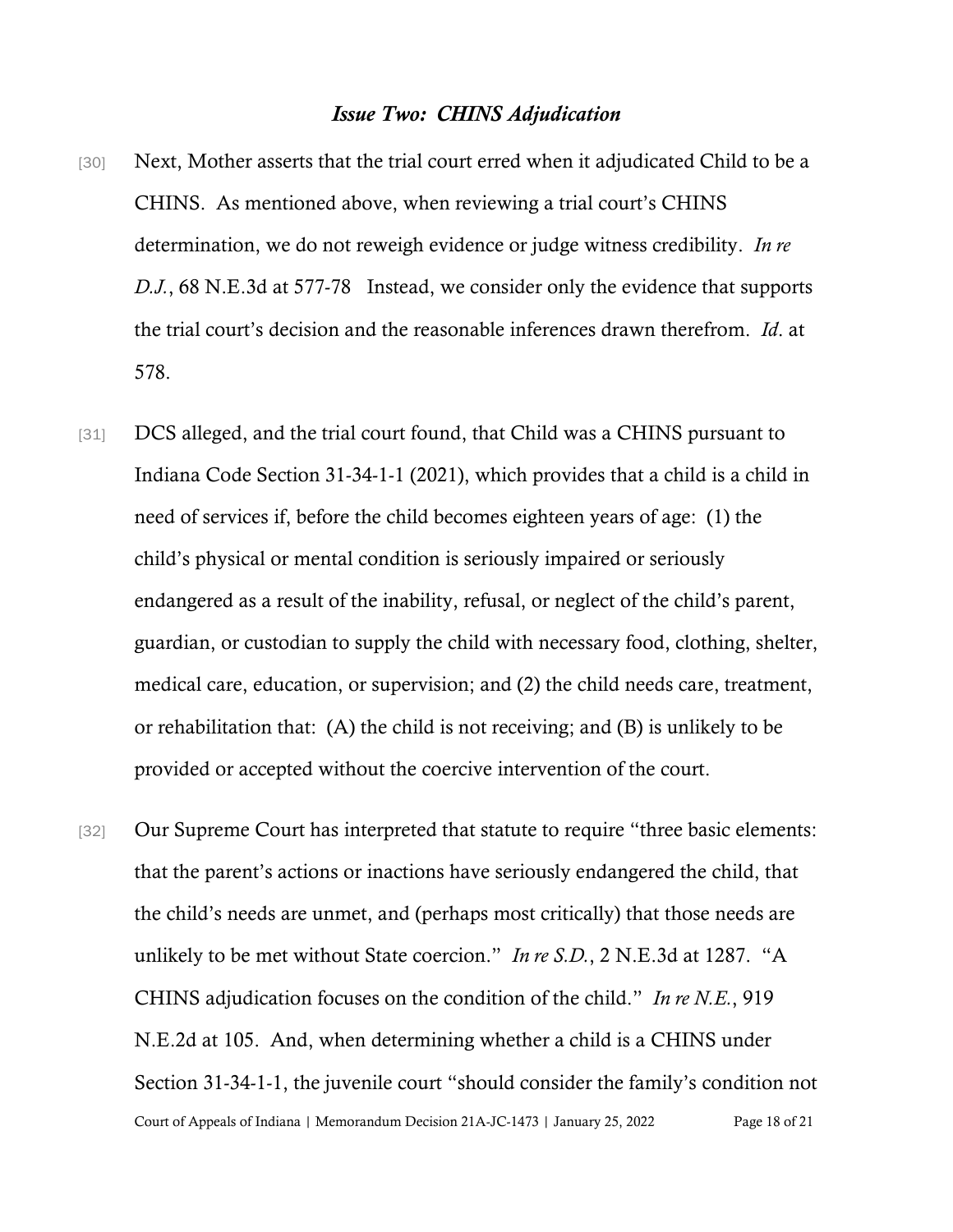### *Issue Two: CHINS Adjudication*

- [30] Next, Mother asserts that the trial court erred when it adjudicated Child to be a CHINS. As mentioned above, when reviewing a trial court's CHINS determination, we do not reweigh evidence or judge witness credibility. *In re D.J.*, 68 N.E.3d at 577-78 Instead, we consider only the evidence that supports the trial court's decision and the reasonable inferences drawn therefrom. *Id*. at 578.
- [31] DCS alleged, and the trial court found, that Child was a CHINS pursuant to Indiana Code Section 31-34-1-1 (2021), which provides that a child is a child in need of services if, before the child becomes eighteen years of age: (1) the child's physical or mental condition is seriously impaired or seriously endangered as a result of the inability, refusal, or neglect of the child's parent, guardian, or custodian to supply the child with necessary food, clothing, shelter, medical care, education, or supervision; and (2) the child needs care, treatment, or rehabilitation that: (A) the child is not receiving; and (B) is unlikely to be provided or accepted without the coercive intervention of the court.
- Court of Appeals of Indiana | Memorandum Decision 21A-JC-1473 | January 25, 2022 Page 18 of 21 [32] Our Supreme Court has interpreted that statute to require "three basic elements: that the parent's actions or inactions have seriously endangered the child, that the child's needs are unmet, and (perhaps most critically) that those needs are unlikely to be met without State coercion." *In re S.D.*, 2 N.E.3d at 1287. "A CHINS adjudication focuses on the condition of the child." *In re N.E.*, 919 N.E.2d at 105. And, when determining whether a child is a CHINS under Section 31-34-1-1, the juvenile court "should consider the family's condition not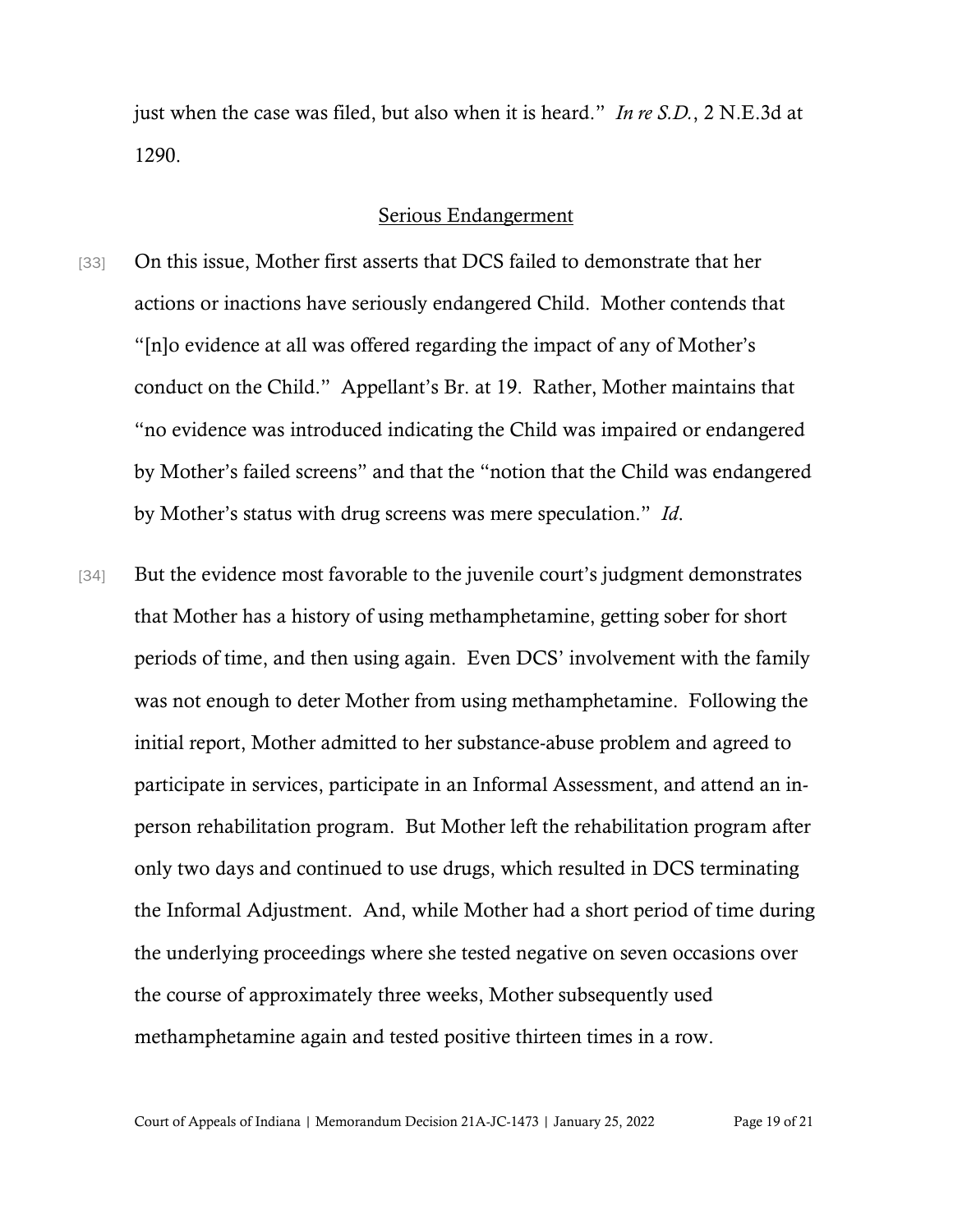just when the case was filed, but also when it is heard." *In re S.D.*, 2 N.E.3d at 1290.

#### Serious Endangerment

- [33] On this issue, Mother first asserts that DCS failed to demonstrate that her actions or inactions have seriously endangered Child. Mother contends that "[n]o evidence at all was offered regarding the impact of any of Mother's conduct on the Child." Appellant's Br. at 19. Rather, Mother maintains that "no evidence was introduced indicating the Child was impaired or endangered by Mother's failed screens" and that the "notion that the Child was endangered by Mother's status with drug screens was mere speculation." *Id*.
- [34] But the evidence most favorable to the juvenile court's judgment demonstrates that Mother has a history of using methamphetamine, getting sober for short periods of time, and then using again. Even DCS' involvement with the family was not enough to deter Mother from using methamphetamine. Following the initial report, Mother admitted to her substance-abuse problem and agreed to participate in services, participate in an Informal Assessment, and attend an inperson rehabilitation program. But Mother left the rehabilitation program after only two days and continued to use drugs, which resulted in DCS terminating the Informal Adjustment. And, while Mother had a short period of time during the underlying proceedings where she tested negative on seven occasions over the course of approximately three weeks, Mother subsequently used methamphetamine again and tested positive thirteen times in a row.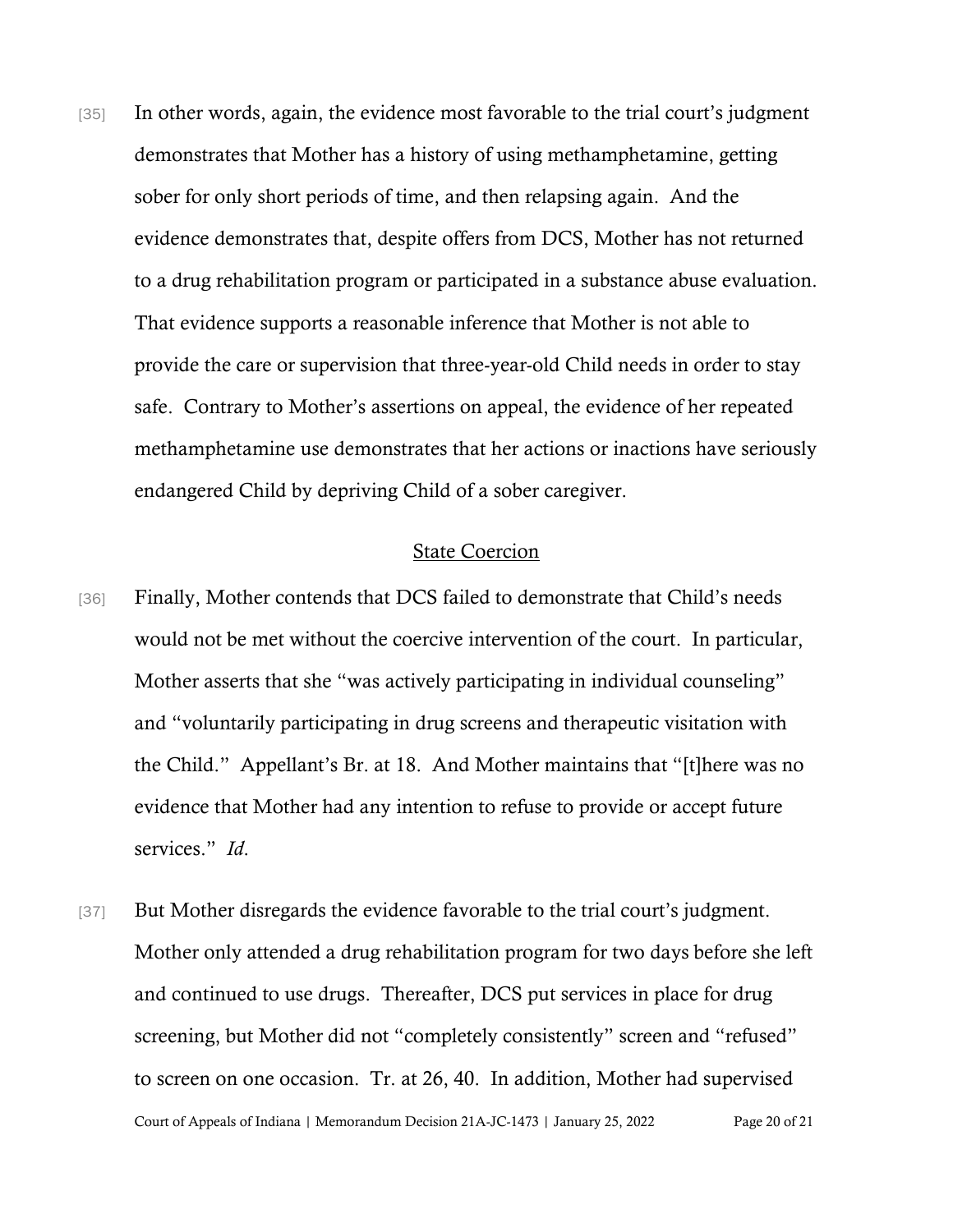[35] In other words, again, the evidence most favorable to the trial court's judgment demonstrates that Mother has a history of using methamphetamine, getting sober for only short periods of time, and then relapsing again. And the evidence demonstrates that, despite offers from DCS, Mother has not returned to a drug rehabilitation program or participated in a substance abuse evaluation. That evidence supports a reasonable inference that Mother is not able to provide the care or supervision that three-year-old Child needs in order to stay safe. Contrary to Mother's assertions on appeal, the evidence of her repeated methamphetamine use demonstrates that her actions or inactions have seriously endangered Child by depriving Child of a sober caregiver.

#### State Coercion

- [36] Finally, Mother contends that DCS failed to demonstrate that Child's needs would not be met without the coercive intervention of the court. In particular, Mother asserts that she "was actively participating in individual counseling" and "voluntarily participating in drug screens and therapeutic visitation with the Child." Appellant's Br. at 18. And Mother maintains that "[t]here was no evidence that Mother had any intention to refuse to provide or accept future services." *Id*.
- Court of Appeals of Indiana | Memorandum Decision 21A-JC-1473 | January 25, 2022 Page 20 of 21 [37] But Mother disregards the evidence favorable to the trial court's judgment. Mother only attended a drug rehabilitation program for two days before she left and continued to use drugs. Thereafter, DCS put services in place for drug screening, but Mother did not "completely consistently" screen and "refused" to screen on one occasion. Tr. at 26, 40. In addition, Mother had supervised